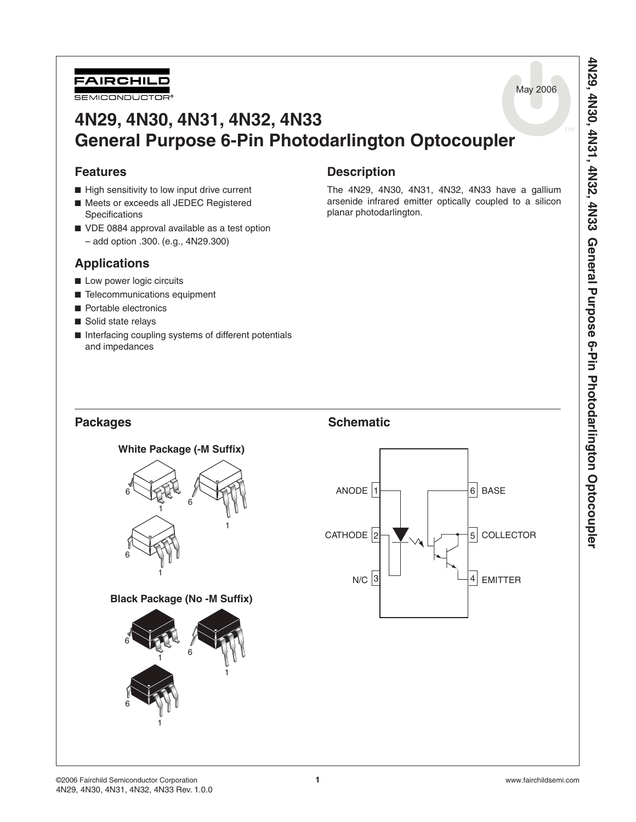

# **4N29, 4N30, 4N31, 4N32, 4N33 General Purpose 6-Pin Photodarlington Optocoupler**

## **Features**

- High sensitivity to low input drive current
- Meets or exceeds all JEDEC Registered **Specifications**
- VDE 0884 approval available as a test option
	- add option .300. (e.g., 4N29.300)

## **Applications**

- Low power logic circuits
- Telecommunications equipment
- Portable electronics
- Solid state relays
- Interfacing coupling systems of different potentials and impedances

## **Description**

The 4N29, 4N30, 4N31, 4N32, 4N33 have a gallium arsenide infrared emitter optically coupled to a silicon planar photodarlington.





May 2006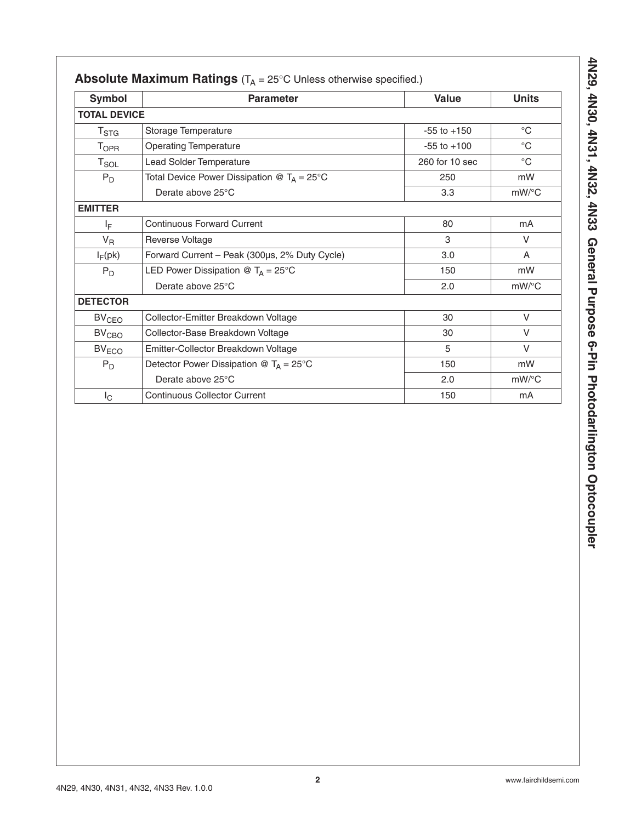| <b>Symbol</b>       | <b>Parameter</b>                                     | <b>Value</b>    | <b>Units</b> |
|---------------------|------------------------------------------------------|-----------------|--------------|
| <b>TOTAL DEVICE</b> |                                                      |                 |              |
| $T_{\text{STG}}$    | Storage Temperature                                  | $-55$ to $+150$ | $^{\circ}C$  |
| <b>TOPR</b>         | <b>Operating Temperature</b>                         | $-55$ to $+100$ | $^{\circ}C$  |
| $T_{SOL}$           | Lead Solder Temperature                              | 260 for 10 sec  | $^{\circ}C$  |
| $P_D$               | Total Device Power Dissipation @ $T_A = 25^{\circ}C$ | 250             | mW           |
|                     | Derate above 25°C                                    | 3.3             | $mW$ /°C     |
| <b>EMITTER</b>      |                                                      |                 |              |
| IF.                 | <b>Continuous Forward Current</b>                    | 80              | mA           |
| $V_R$               | Reverse Voltage                                      | 3               | V            |
| $I_F$ (pk)          | Forward Current - Peak (300µs, 2% Duty Cycle)        | 3.0             | A            |
| $P_D$               | LED Power Dissipation @ $T_A = 25^{\circ}C$          | 150             | mW           |
|                     | Derate above 25°C                                    | 2.0             | $mW$ /°C     |
| <b>DETECTOR</b>     |                                                      |                 |              |
| BV <sub>CEO</sub>   | Collector-Emitter Breakdown Voltage                  | 30              | V            |
| BV <sub>CBO</sub>   | Collector-Base Breakdown Voltage                     | 30              | V            |
| BV <sub>ECO</sub>   | Emitter-Collector Breakdown Voltage                  | 5               | V            |
| $P_D$               | Detector Power Dissipation @ $T_A = 25^{\circ}C$     | 150             | mW           |
|                     | Derate above 25°C                                    | 2.0             | $mW$ /°C     |
| $I_{\rm C}$         | <b>Continuous Collector Current</b>                  | 150             | mA           |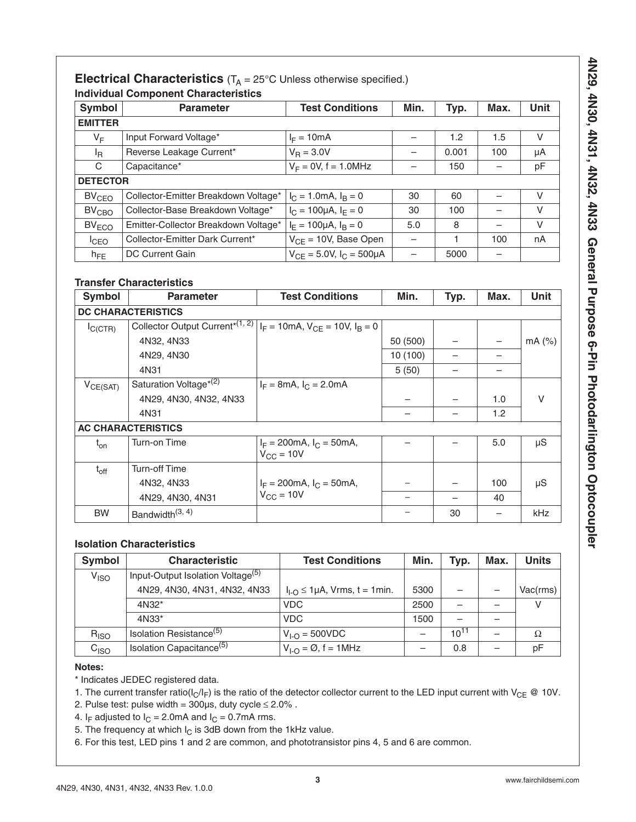## **Electrical Characteristics**  $(T_A = 25^\circ C$  Unless otherwise specified.) **Individual Component Characteristics**

| Symbol            | <b>Parameter</b>                     | <b>Test Conditions</b>              | Min. | Typ.  | Max. | Unit |
|-------------------|--------------------------------------|-------------------------------------|------|-------|------|------|
| <b>EMITTER</b>    |                                      |                                     |      |       |      |      |
| VF                | Input Forward Voltage*               | $I_F = 10mA$                        |      | 1.2   | 1.5  | V    |
| <sup>I</sup> R    | Reverse Leakage Current*             | $V_{\rm B} = 3.0 V$                 |      | 0.001 | 100  | μA   |
| C                 | Capacitance*                         | $V_F = 0V$ , f = 1.0MHz             |      | 150   |      | pF   |
|                   | <b>DETECTOR</b>                      |                                     |      |       |      |      |
| BV <sub>CEO</sub> | Collector-Emitter Breakdown Voltage* | $I_C = 1.0 \text{mA}, I_B = 0$      | 30   | 60    |      | V    |
| BV <sub>CBO</sub> | Collector-Base Breakdown Voltage*    | $I_C = 100 \mu A, I_E = 0$          | 30   | 100   |      | V    |
| BV <sub>ECO</sub> | Emitter-Collector Breakdown Voltage* | $I_F = 100 \mu A$ , $I_B = 0$       | 5.0  | 8     |      | V    |
| $I_{\text{CEO}}$  | Collector-Emitter Dark Current*      | $V_{CF}$ = 10V, Base Open           |      |       | 100  | nA   |
| $h_{FE}$          | DC Current Gain                      | $V_{CF} = 5.0V$ , $I_C = 500 \mu A$ |      | 5000  |      |      |

### **Transfer Characteristics**

| Symbol        | <b>Parameter</b>                                                                      | <b>Test Conditions</b>                                       | Min.     | Typ. | Max. | Unit     |
|---------------|---------------------------------------------------------------------------------------|--------------------------------------------------------------|----------|------|------|----------|
|               | <b>DC CHARACTERISTICS</b>                                                             |                                                              |          |      |      |          |
| $I_{C (CTR)}$ | Collector Output Current <sup>*(1, 2)</sup> $I_F = 10$ mA, $V_{CE} = 10V$ , $I_B = 0$ |                                                              |          |      |      |          |
|               | 4N32, 4N33                                                                            |                                                              | 50 (500) |      |      | $mA$ (%) |
|               | 4N29, 4N30                                                                            |                                                              | 10 (100) |      |      |          |
|               | 4N31                                                                                  |                                                              | 5(50)    |      |      |          |
| $V_{CE(SAT)}$ | Saturation Voltage <sup>*(2)</sup>                                                    | $I_F = 8mA$ , $I_C = 2.0mA$                                  |          |      |      |          |
|               | 4N29, 4N30, 4N32, 4N33                                                                |                                                              |          |      | 1.0  | $\vee$   |
|               | 4N31                                                                                  |                                                              |          |      | 1.2  |          |
|               | <b>AC CHARACTERISTICS</b>                                                             |                                                              |          |      |      |          |
| $t_{on}$      | Turn-on Time                                                                          | $I_F = 200 \text{mA}, I_C = 50 \text{mA},$<br>$V_{CC}$ = 10V |          |      | 5.0  | $\mu$ S  |
| $t_{off}$     | <b>Turn-off Time</b>                                                                  |                                                              |          |      |      |          |
|               | 4N32, 4N33                                                                            | $I_F = 200 \text{mA}, I_C = 50 \text{mA},$                   |          |      | 100  | $\mu$ S  |
|               | 4N29, 4N30, 4N31                                                                      | $V_{CC} = 10V$                                               |          |      | 40   |          |
| <b>BW</b>     | Bandwidth <sup>(3, 4)</sup>                                                           |                                                              |          | 30   |      | kHz      |

## **Isolation Characteristics**

| <b>Symbol</b>    | <b>Characteristic</b>                         | <b>Test Conditions</b>               | Min. | Typ.      | Max. | <b>Units</b> |
|------------------|-----------------------------------------------|--------------------------------------|------|-----------|------|--------------|
| V <sub>ISO</sub> | Input-Output Isolation Voltage <sup>(5)</sup> |                                      |      |           |      |              |
|                  | 4N29, 4N30, 4N31, 4N32, 4N33                  | $I_{L0}$ $\leq$ 1µA, Vrms, t = 1min. | 5300 |           |      | Vac(rms)     |
|                  | 4N32*                                         | <b>VDC</b>                           | 2500 |           |      |              |
|                  | $4N33*$                                       | <b>VDC</b>                           | 1500 |           |      |              |
| $R_{ISO}$        | Isolation Resistance <sup>(5)</sup>           | $V_{I-O} = 500 VDC$                  |      | $10^{11}$ |      | Ω            |
| C <sub>ISO</sub> | Isolation Capacitance <sup>(5)</sup>          | $V_{I-O} = \varnothing$ , f = 1MHz   |      | 0.8       |      | рF           |

### **Notes:**

\* Indicates JEDEC registered data.

- 1. The current transfer ratio( $I_C/I_F$ ) is the ratio of the detector collector current to the LED input current with V<sub>CE</sub> @ 10V.
- 2. Pulse test: pulse width =  $300\mu s$ , duty cycle  $\leq 2.0\%$ .

4. I<sub>F</sub> adjusted to  $I_C = 2.0$ mA and  $I_C = 0.7$ mA rms.

- 5. The frequency at which  $I_C$  is 3dB down from the 1kHz value.
- 6. For this test, LED pins 1 and 2 are common, and phototransistor pins 4, 5 and 6 are common.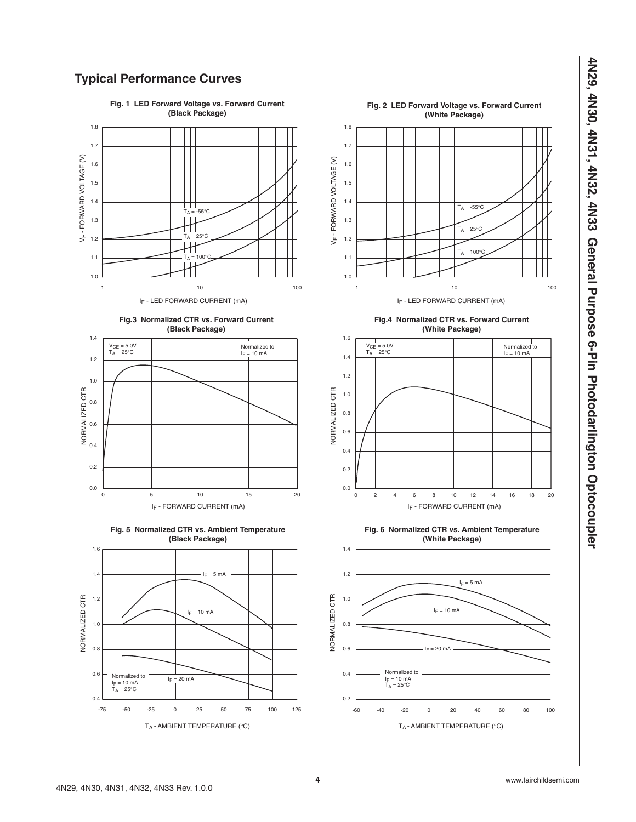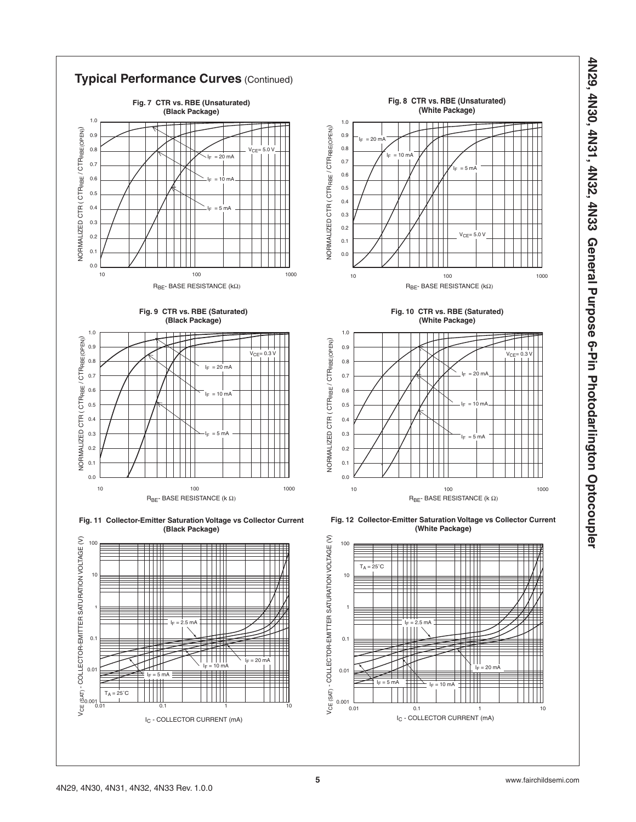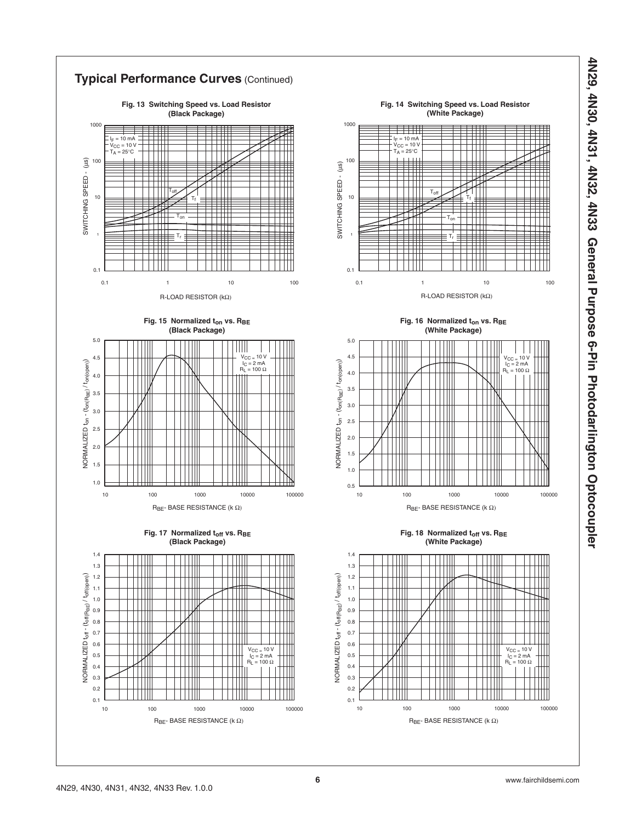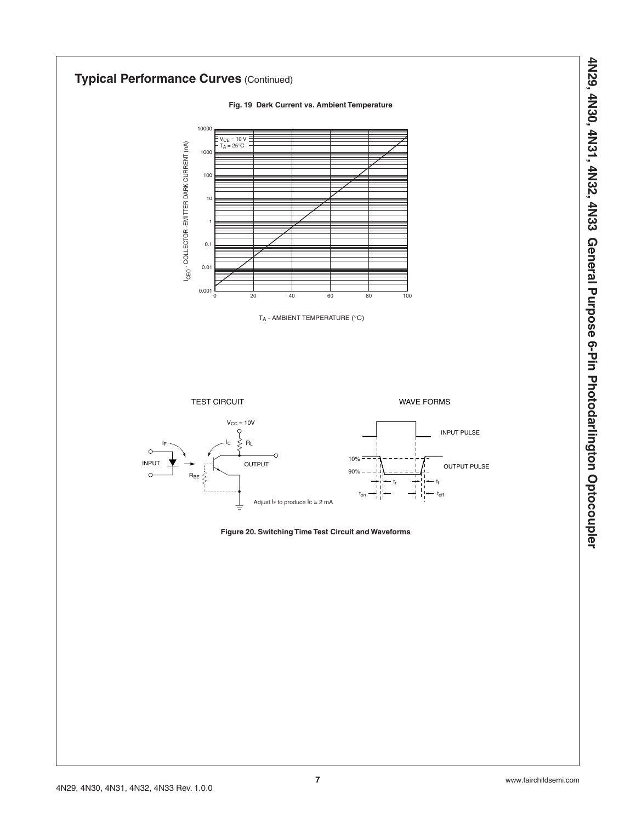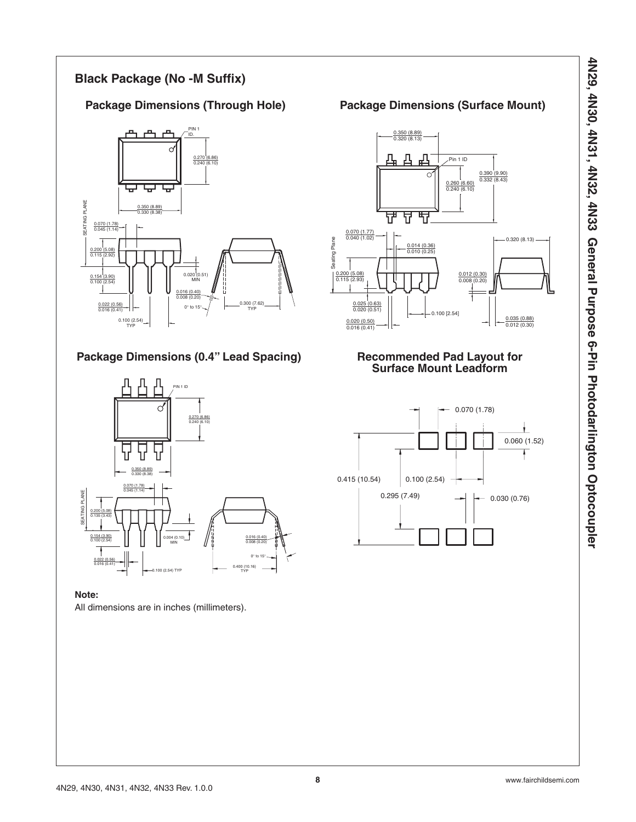## **Black Package (No -M Suffix)**



## Package Dimensions (0.4" Lead Spacing) Recommended Pad Layout for



**Note:** All dimensions are in inches (millimeters).

## Package Dimensions (Through Hole) **Package Dimensions (Surface Mount)**



# **Surface Mount Leadform**

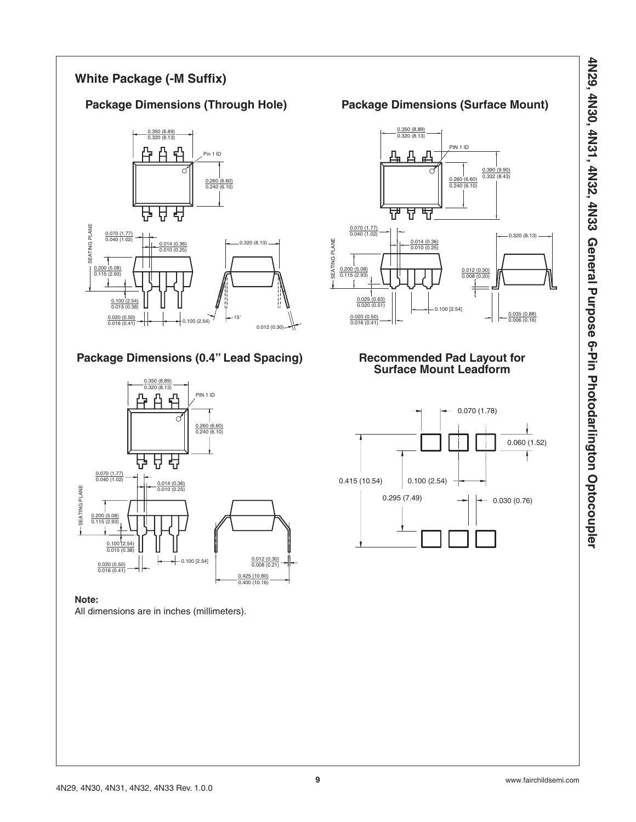## **White Package (-M Suffix)**



## **Package Dimensions (0.4" Lead Spacing)**



### **Note:**

All dimensions are in inches (millimeters).

## Package Dimensions (Through Hole) Package Dimensions (Surface Mount)



## **Recommended Pad Layout for Surface Mount Leadform**

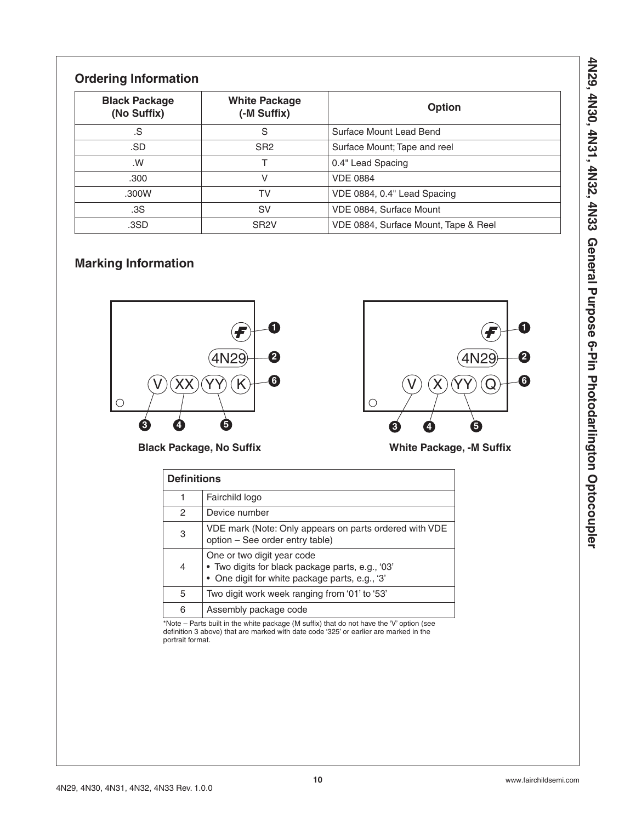## **Ordering Information**

| <b>Black Package</b><br>(No Suffix) | <b>White Package</b><br>(-M Suffix) | Option                               |
|-------------------------------------|-------------------------------------|--------------------------------------|
| .S                                  | S                                   | Surface Mount Lead Bend              |
| .SD                                 | SR <sub>2</sub>                     | Surface Mount; Tape and reel         |
| .W                                  |                                     | 0.4" Lead Spacing                    |
| .300                                |                                     | <b>VDE 0884</b>                      |
| .300W                               | TV                                  | VDE 0884, 0.4" Lead Spacing          |
| .3S                                 | SV                                  | VDE 0884, Surface Mount              |
| .3SD                                | SR <sub>2</sub> V                   | VDE 0884, Surface Mount, Tape & Reel |

## **Marking Information**



**Black Package, No Suffix**



**White Package, -M Suffix**

|   | <b>Definitions</b>                                                                                                               |  |  |  |
|---|----------------------------------------------------------------------------------------------------------------------------------|--|--|--|
| 1 | Fairchild logo                                                                                                                   |  |  |  |
| 2 | Device number                                                                                                                    |  |  |  |
| 3 | VDE mark (Note: Only appears on parts ordered with VDE<br>option - See order entry table)                                        |  |  |  |
| 4 | One or two digit year code<br>• Two digits for black package parts, e.g., '03'<br>• One digit for white package parts, e.g., '3' |  |  |  |
| 5 | Two digit work week ranging from '01' to '53'                                                                                    |  |  |  |
| 6 | Assembly package code                                                                                                            |  |  |  |

\*Note – Parts built in the white package (M suffix) that do not have the 'V' option (see definition 3 above) that are marked with date code '325' or earlier are marked in the portrait format.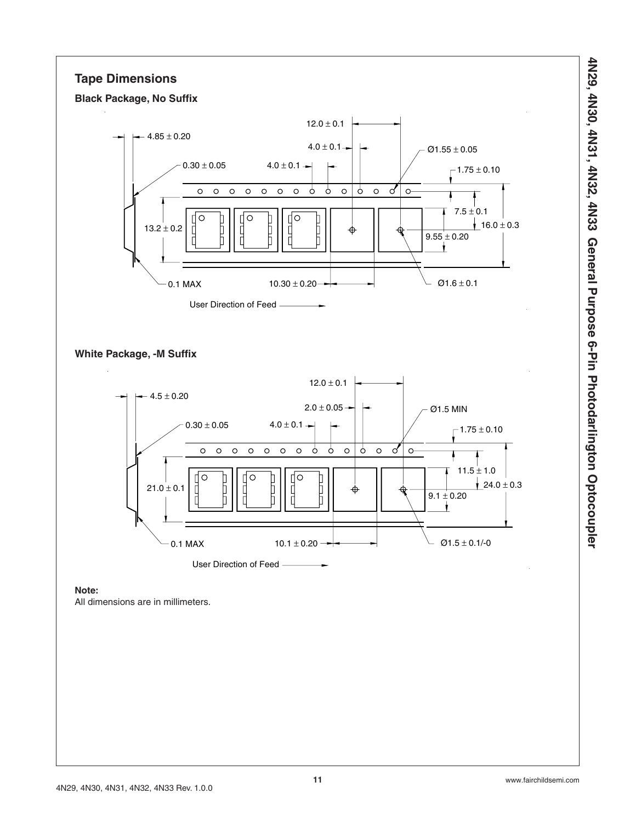## **Tape Dimensions**





**White Package, -M Suffix**



**Note:**

All dimensions are in millimeters.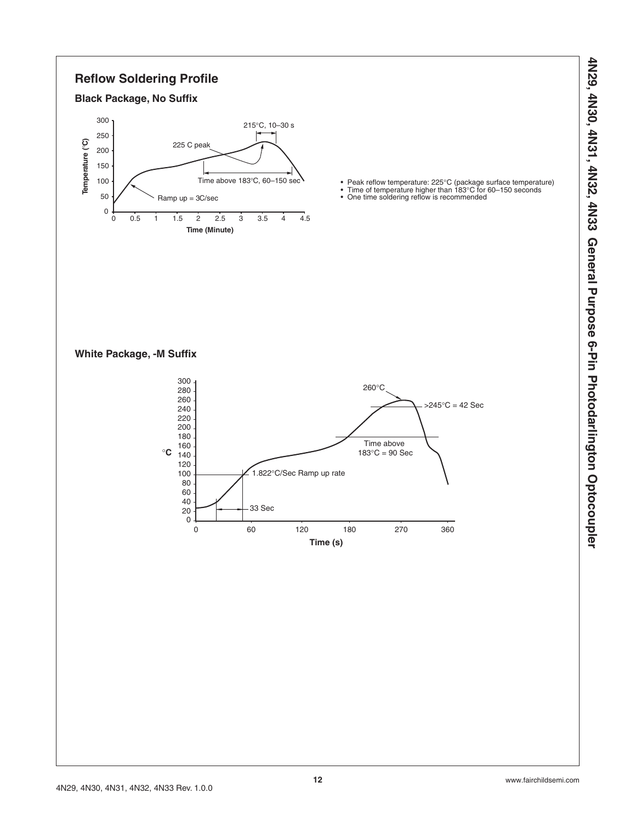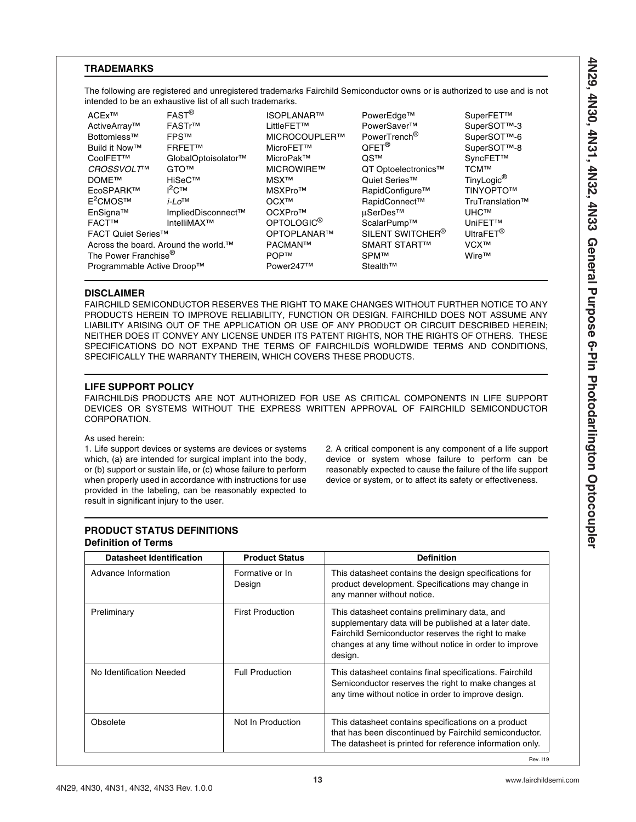### **TRADEMARKS**

The following are registered and unregistered trademarks Fairchild Semiconductor owns or is authorized to use and is not intended to be an exhaustive list of all such trademarks.

ACEx™ ActiveArray™ Bottomless™ Build it Now™ CoolFET™ *CROSSVOLT*™ DOME™ EcoSPARK™ E<sup>2</sup>CMOS™ EnSigna™ FACT™ FAST® FASTr™ FPS™ FRFET™ GlobalOptoisolator™ GTO™ HiSeC™ I 2C™ *i-Lo*™ ImpliedDisconnect™ IntelliMAX™ FACT Quiet Series™ Across the board. Around the world.™ The Power Franchise® Programmable Active Droop™

ISOPLANAR™ LittleFET™ MICROCOUPLER™ MicroFET™ MicroPak™ MICROWIRE™ MSX™ MSXPro™ OCX™ OCXPro™ OPTOLOGIC® OPTOPLANAR™ PACMAN™ POP™ Power247™

PowerEdge™ PowerSaver™ PowerTrench® QFET® QS™ QT Optoelectronics™ Quiet Series™ RapidConfigure™ RapidConnect™ µSerDes™ ScalarPump™ SILENT SWITCHER<sup>®</sup> SMART START™ SPM™ Stealth™

SuperFET™ SuperSOT™-3 SuperSOT™-6 SuperSOT™-8 SyncFET™ TCM™ TinyLogic® TINYOPTO™ TruTranslation™ UHC™ UniFET™ UltraFET<sup>®</sup> VCX™ Wire™

### **DISCLAIMER**

FAIRCHILD SEMICONDUCTOR RESERVES THE RIGHT TO MAKE CHANGES WITHOUT FURTHER NOTICE TO ANY PRODUCTS HEREIN TO IMPROVE RELIABILITY, FUNCTION OR DESIGN. FAIRCHILD DOES NOT ASSUME ANY LIABILITY ARISING OUT OF THE APPLICATION OR USE OF ANY PRODUCT OR CIRCUIT DESCRIBED HEREIN; NEITHER DOES IT CONVEY ANY LICENSE UNDER ITS PATENT RIGHTS, NOR THE RIGHTS OF OTHERS. THESE SPECIFICATIONS DO NOT EXPAND THE TERMS OF FAIRCHILDíS WORLDWIDE TERMS AND CONDITIONS, SPECIFICALLY THE WARRANTY THEREIN, WHICH COVERS THESE PRODUCTS.

### **LIFE SUPPORT POLICY**

FAIRCHILDíS PRODUCTS ARE NOT AUTHORIZED FOR USE AS CRITICAL COMPONENTS IN LIFE SUPPORT DEVICES OR SYSTEMS WITHOUT THE EXPRESS WRITTEN APPROVAL OF FAIRCHILD SEMICONDUCTOR CORPORATION.

### As used herein:

1. Life support devices or systems are devices or systems which, (a) are intended for surgical implant into the body, or (b) support or sustain life, or (c) whose failure to perform when properly used in accordance with instructions for use provided in the labeling, can be reasonably expected to result in significant injury to the user.

2. A critical component is any component of a life support device or system whose failure to perform can be reasonably expected to cause the failure of the life support device or system, or to affect its safety or effectiveness.

### **PRODUCT STATUS DEFINITIONS Definition of Terms**

| <b>Product Status</b>     | <b>Definition</b>                                                                                                                                                                                                                 |
|---------------------------|-----------------------------------------------------------------------------------------------------------------------------------------------------------------------------------------------------------------------------------|
| Formative or In<br>Design | This datasheet contains the design specifications for<br>product development. Specifications may change in<br>any manner without notice.                                                                                          |
| <b>First Production</b>   | This datasheet contains preliminary data, and<br>supplementary data will be published at a later date.<br>Fairchild Semiconductor reserves the right to make<br>changes at any time without notice in order to improve<br>design. |
| <b>Full Production</b>    | This datasheet contains final specifications. Fairchild<br>Semiconductor reserves the right to make changes at<br>any time without notice in order to improve design.                                                             |
| Not In Production         | This datasheet contains specifications on a product<br>that has been discontinued by Fairchild semiconductor.<br>The datasheet is printed for reference information only.                                                         |
|                           |                                                                                                                                                                                                                                   |